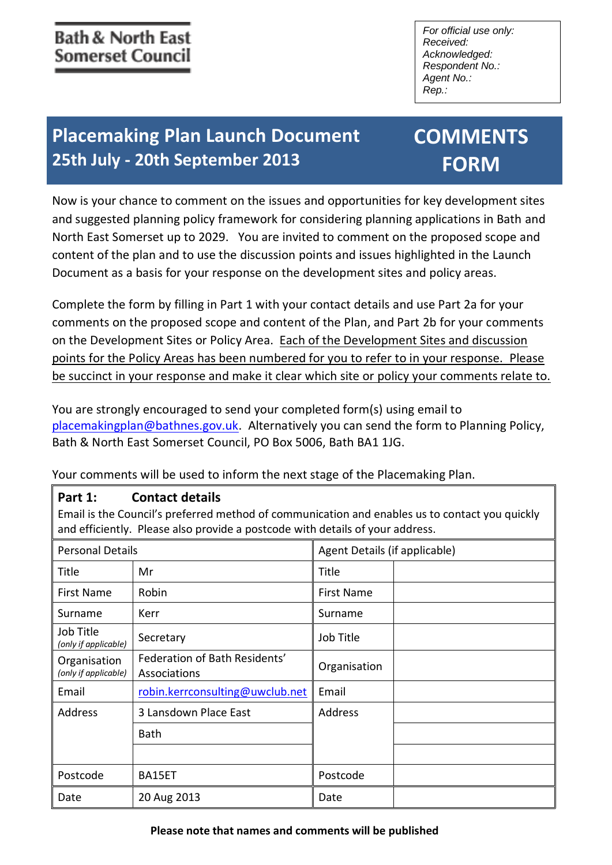*For official use only: Received: Acknowledged: Respondent No.: Agent No.: Rep.:*

# **Placemaking Plan Launch Document 25th July - 20th September 2013**

# **COMMENTS FORM**

Now is your chance to comment on the issues and opportunities for key development sites and suggested planning policy framework for considering planning applications in Bath and North East Somerset up to 2029. You are invited to comment on the proposed scope and content of the plan and to use the discussion points and issues highlighted in the Launch Document as a basis for your response on the development sites and policy areas.

Complete the form by filling in Part 1 with your contact details and use Part 2a for your comments on the proposed scope and content of the Plan, and Part 2b for your comments on the Development Sites or Policy Area. Each of the Development Sites and discussion points for the Policy Areas has been numbered for you to refer to in your response. Please be succinct in your response and make it clear which site or policy your comments relate to.

You are strongly encouraged to send your completed form(s) using email to [placemakingplan@bathnes.gov.uk.](mailto:placemakingplan@bathnes.gov.uk) Alternatively you can send the form to Planning Policy, Bath & North East Somerset Council, PO Box 5006, Bath BA1 1JG.

Your comments will be used to inform the next stage of the Placemaking Plan.

## **Part 1: Contact details**

Email is the Council's preferred method of communication and enables us to contact you quickly and efficiently. Please also provide a postcode with details of your address.

| <b>Personal Details</b>              |                                               | Agent Details (if applicable) |  |
|--------------------------------------|-----------------------------------------------|-------------------------------|--|
| Title                                | Mr                                            | <b>Title</b>                  |  |
| First Name                           | Robin                                         | <b>First Name</b>             |  |
| Surname                              | Kerr                                          | Surname                       |  |
| Job Title<br>(only if applicable)    | Secretary                                     | Job Title                     |  |
| Organisation<br>(only if applicable) | Federation of Bath Residents'<br>Associations | Organisation                  |  |
| Email                                | robin.kerrconsulting@uwclub.net               | Email                         |  |
| Address                              | 3 Lansdown Place East                         | <b>Address</b>                |  |
|                                      | <b>Bath</b>                                   |                               |  |
|                                      |                                               |                               |  |
| Postcode                             | BA15ET                                        | Postcode                      |  |
| Date                                 | 20 Aug 2013                                   | Date                          |  |

#### **Please note that names and comments will be published**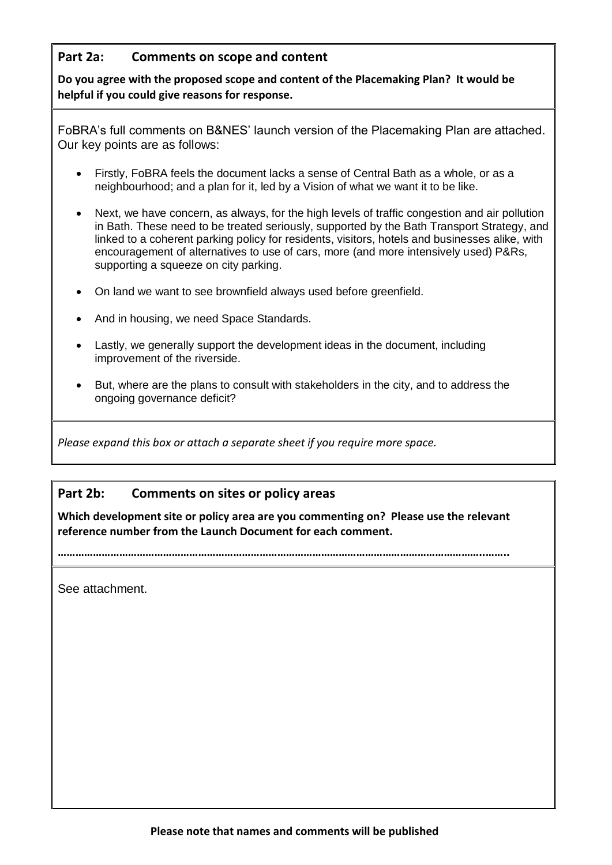## **Part 2a: Comments on scope and content**

**Do you agree with the proposed scope and content of the Placemaking Plan? It would be helpful if you could give reasons for response.**

FoBRA's full comments on B&NES' launch version of the Placemaking Plan are attached. Our key points are as follows:

- Firstly, FoBRA feels the document lacks a sense of Central Bath as a whole, or as a neighbourhood; and a plan for it, led by a Vision of what we want it to be like.
- Next, we have concern, as always, for the high levels of traffic congestion and air pollution in Bath. These need to be treated seriously, supported by the Bath Transport Strategy, and linked to a coherent parking policy for residents, visitors, hotels and businesses alike, with encouragement of alternatives to use of cars, more (and more intensively used) P&Rs, supporting a squeeze on city parking.
- On land we want to see brownfield always used before greenfield.
- And in housing, we need Space Standards.
- Lastly, we generally support the development ideas in the document, including improvement of the riverside.
- But, where are the plans to consult with stakeholders in the city, and to address the ongoing governance deficit?

*Please expand this box or attach a separate sheet if you require more space.*

#### **Part 2b: Comments on sites or policy areas**

**Which development site or policy area are you commenting on? Please use the relevant reference number from the Launch Document for each comment.**

**………………………………………………………………………………………………………………………………..……..**

See attachment.